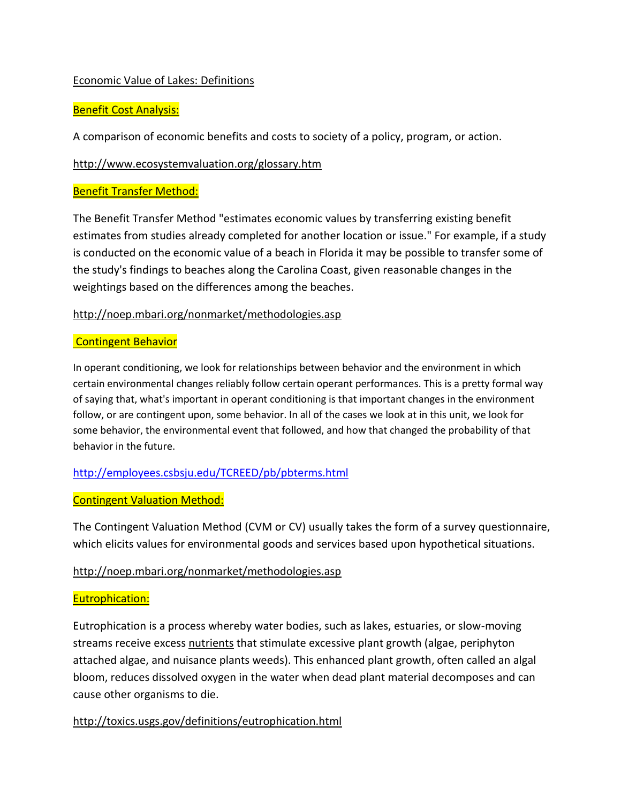# Economic Value of Lakes: Definitions

# Benefit Cost Analysis:

A comparison of economic benefits and costs to society of a policy, program, or action.

## <http://www.ecosystemvaluation.org/glossary.htm>

### Benefit Transfer Method:

The Benefit Transfer Method "estimates economic values by transferring existing benefit estimates from studies already completed for another location or issue." For example, if a study is conducted on the economic value of a beach in Florida it may be possible to transfer some of the study's findings to beaches along the Carolina Coast, given reasonable changes in the weightings based on the differences among the beaches.

### <http://noep.mbari.org/nonmarket/methodologies.asp>

#### Contingent Behavior

In operant conditioning, we look for relationships between behavior and the environment in which certain environmental changes reliably follow certain operant performances. This is a pretty formal way of saying that, what's important in operant conditioning is that important changes in the environment follow, or are contingent upon, some behavior. In all of the cases we look at in this unit, we look for some behavior, the environmental event that followed, and how that changed the probability of that behavior in the future.

## <http://employees.csbsju.edu/TCREED/pb/pbterms.html>

## Contingent Valuation Method:

The Contingent Valuation Method (CVM or CV) usually takes the form of a survey questionnaire, which elicits values for environmental goods and services based upon hypothetical situations.

#### <http://noep.mbari.org/nonmarket/methodologies.asp>

## Eutrophication:

Eutrophication is a process whereby water bodies, such as lakes, estuaries, or slow-moving streams receive excess [nutrients](http://toxics.usgs.gov/definitions/nutrients.html) that stimulate excessive plant growth (algae, periphyton attached algae, and nuisance plants weeds). This enhanced plant growth, often called an algal bloom, reduces dissolved oxygen in the water when dead plant material decomposes and can cause other organisms to die.

## <http://toxics.usgs.gov/definitions/eutrophication.html>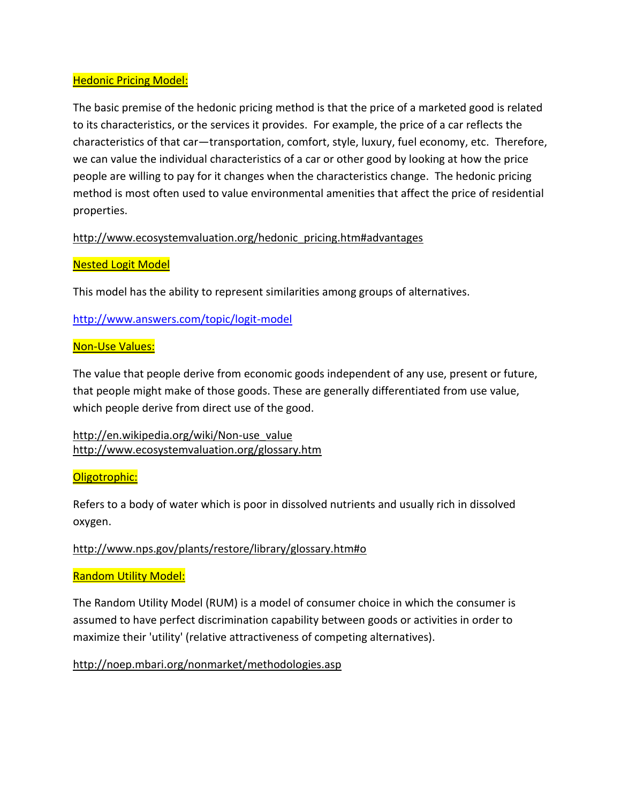## Hedonic Pricing Model:

The basic premise of the hedonic pricing method is that the price of a marketed good is related to its characteristics, or the services it provides. For example, the price of a car reflects the characteristics of that car—transportation, comfort, style, luxury, fuel economy, etc. Therefore, we can value the individual characteristics of a car or other good by looking at how the price people are willing to pay for it changes when the characteristics change. The hedonic pricing method is most often used to value environmental amenities that affect the price of residential properties.

[http://www.ecosystemvaluation.org/hedonic\\_pricing.htm#advantages](http://www.ecosystemvaluation.org/hedonic_pricing.htm#advantages)

### Nested Logit Model

This model has the ability to represent similarities among groups of alternatives.

<http://www.answers.com/topic/logit-model>

#### Non-Use Values:

The value that people derive from economic goods independent of any use, present or future, that people might make of those goods. These are generally differentiated from use value, which people derive from direct use of the good.

[http://en.wikipedia.org/wiki/Non-use\\_value](http://en.wikipedia.org/wiki/Non-use_value) <http://www.ecosystemvaluation.org/glossary.htm>

#### Oligotrophic:

Refers to a body of water which is poor in dissolved nutrients and usually rich in dissolved oxygen.

## <http://www.nps.gov/plants/restore/library/glossary.htm#o>

## Random Utility Model:

The Random Utility Model (RUM) is a model of consumer choice in which the consumer is assumed to have perfect discrimination capability between goods or activities in order to maximize their 'utility' (relative attractiveness of competing alternatives).

## <http://noep.mbari.org/nonmarket/methodologies.asp>